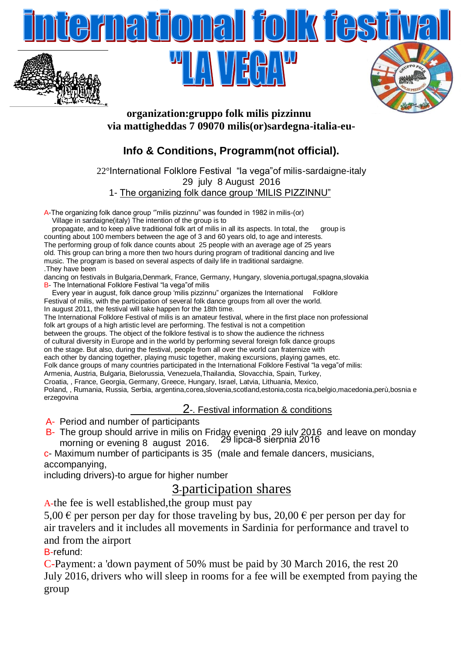

### **organization:gruppo folk milis pizzinnu via mattigheddas 7 09070 milis(or)sardegna-italia-eu-**

# **Info & Conditions, Programm(not official).**

22°International Folklore Festival "la vega"of milis-sardaigne-italy 29 july 8 August 2016 1- The organizing folk dance group 'MILIS PIZZINNU"

A-The organizing folk dance group "milis pizzinnu" was founded in 1982 in milis-(or)

Village in sardaigne(italy) The intention of the group is to

 propagate, and to keep alive traditional folk art of milis in all its aspects. In total, the group is counting about 100 members between the age of 3 and 60 years old, to age and interests. The performing group of folk dance counts about 25 people with an average age of 25 years old. This group can bring a more then two hours during program of traditional dancing and live music. The program is based on several aspects of daily life in traditional sardaigne. .They have been

dancing on festivals in Bulgaria,Denmark, France, Germany, Hungary, slovenia,portugal,spagna,slovakia B- The International Folklore Festival "la vega"of milis

 Every year in august, folk dance group 'milis pizzinnu" organizes the International Folklore Festival of milis, with the participation of several folk dance groups from all over the world. In august 2011, the festival will take happen for the 18th time.

The International Folklore Festival of milis is an amateur festival, where in the first place non professional folk art groups of a high artistic level are performing. The festival is not a competition

between the groups. The object of the folklore festival is to show the audience the richness

of cultural diversity in Europe and in the world by performing several foreign folk dance groups

on the stage. But also, during the festival, people from all over the world can fraternize with each other by dancing together, playing music together, making excursions, playing games, etc.

Folk dance groups of many countries participated in the International Folklore Festival "la vega"of milis:

Armenia, Austria, Bulgaria, Bielorussia, Venezuela,Thailandia, Slovacchia, Spain, Turkey,

Croatia, , France, Georgia, Germany, Greece, Hungary, Israel, Latvia, Lithuania, Mexico,

Poland, , Rumania, Russia, Serbia, argentina,corea,slovenia,scotland,estonia,costa rica,belgio,macedonia,perù,bosnia e erzegovina

## 2-. Festival information & conditions

A- Period and number of participants

B- The group should arrive in milis on Friday evening 29 july 2016 and leave on monday morning or evening 8 august 2016.

c- Maximum number of participants is 35 (male and female dancers, musicians, accompanying, 29 lipca-8 sierpnia 2016<br>male and female dancer<br>.

including drivers)-to argue for higher number

## 3-participation shares

A-the fee is well established,the group must pay

5,00  $\epsilon$  per person per day for those traveling by bus, 20,00  $\epsilon$  per person per day for air travelers and it includes all movements in Sardinia for performance and travel to and from the airport

B-refund:

C-Payment: a 'down payment of 50% must be paid by 30 March 2016, the rest 20 July 2016, drivers who will sleep in rooms for a fee will be exempted from paying the group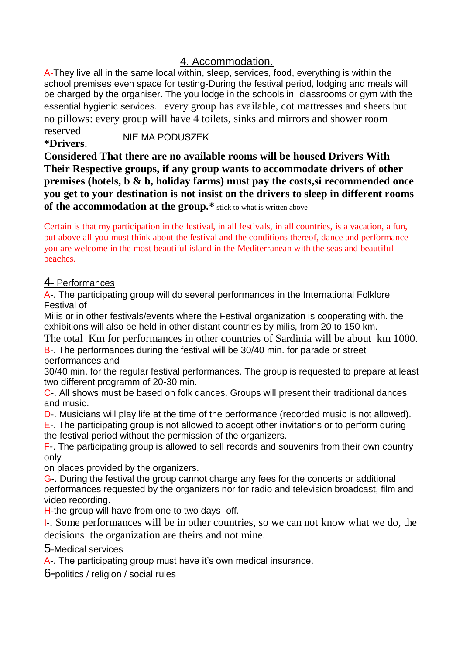### 4. Accommodation.

A-They live all in the same local within, sleep, services, food, everything is within the school premises even space for testing-During the festival period, lodging and meals will be charged by the organiser. The you lodge in the schools in classrooms or gym with the essential hygienic services. every group has available, cot mattresses and sheets but no pillows: every group will have 4 toilets, sinks and mirrors and shower room reserved

**\*Drivers**. NIE MA PODUSZEK

**Considered That there are no available rooms will be housed Drivers With Their Respective groups, if any group wants to accommodate drivers of other premises (hotels, b & b, holiday farms) must pay the costs,si recommended once you get to your destination is not insist on the drivers to sleep in different rooms**  of the accommodation at the group.\*\_stick to what is written above

Certain is that my participation in the festival, in all festivals, in all countries, is a vacation, a fun, but above all you must think about the festival and the conditions thereof, dance and performance you are welcome in the most beautiful island in the Mediterranean with the seas and beautiful beaches.

#### 4- Performances

A-. The participating group will do several performances in the International Folklore Festival of

Milis or in other festivals/events where the Festival organization is cooperating with. the exhibitions will also be held in other distant countries by milis, from 20 to 150 km.

The total Km for performances in other countries of Sardinia will be about km 1000. B-. The performances during the festival will be 30/40 min. for parade or street

performances and

30/40 min. for the regular festival performances. The group is requested to prepare at least two different programm of 20-30 min.

C-. All shows must be based on folk dances. Groups will present their traditional dances and music.

D-. Musicians will play life at the time of the performance (recorded music is not allowed).

E-. The participating group is not allowed to accept other invitations or to perform during the festival period without the permission of the organizers.

F-. The participating group is allowed to sell records and souvenirs from their own country only

on places provided by the organizers.

G-. During the festival the group cannot charge any fees for the concerts or additional performances requested by the organizers nor for radio and television broadcast, film and video recording.

H-the group will have from one to two days off.

I-. Some performances will be in other countries, so we can not know what we do, the decisions the organization are theirs and not mine.

5-Medical services

A-. The participating group must have it's own medical insurance.

6-politics / religion / social rules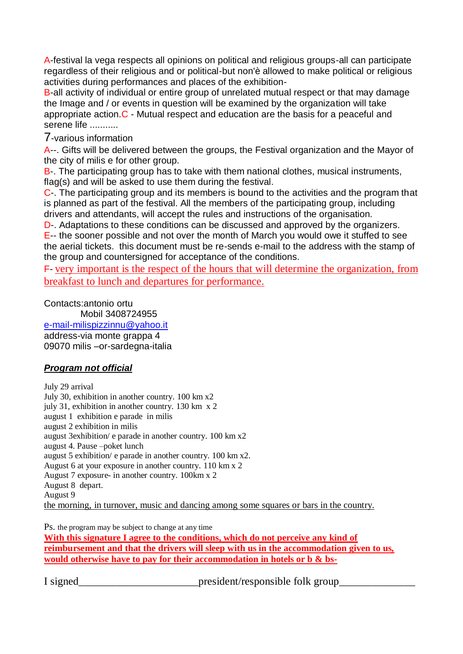A-festival la vega respects all opinions on political and religious groups-all can participate regardless of their religious and or political-but non'è allowed to make political or religious activities during performances and places of the exhibition-

B-all activity of individual or entire group of unrelated mutual respect or that may damage the Image and / or events in question will be examined by the organization will take appropriate action.C - Mutual respect and education are the basis for a peaceful and serene life ............

#### 7-various information

A--. Gifts will be delivered between the groups, the Festival organization and the Mayor of the city of milis e for other group.

B. The participating group has to take with them national clothes, musical instruments, flag(s) and will be asked to use them during the festival.

C-. The participating group and its members is bound to the activities and the program that is planned as part of the festival. All the members of the participating group, including drivers and attendants, will accept the rules and instructions of the organisation.

D-. Adaptations to these conditions can be discussed and approved by the organizers. E-- the sooner possible and not over the month of March you would owe it stuffed to see the aerial tickets. this document must be re-sends e-mail to the address with the stamp of the group and countersigned for acceptance of the conditions.

F- very important is the respect of the hours that will determine the organization, from breakfast to lunch and departures for performance.

Contacts:antonio ortu

 Mobil 3408724955 [e-mail-milispizzinnu@yahoo.it](mailto:e-mail-milispizzinnu@yahoo.it) address-via monte grappa 4 09070 milis –or-sardegna-italia

#### *Program not official*

July 29 arrival July 30, exhibition in another country. 100 km x2 july 31, exhibition in another country. 130 km x 2 august 1 exhibition e parade in milis august 2 exhibition in milis august 3exhibition/ e parade in another country. 100 km x2 august 4. Pause –poket lunch august 5 exhibition/ e parade in another country. 100 km x2. August 6 at your exposure in another country. 110 km x 2 August 7 exposure- in another country. 100km x 2 August 8 depart. August 9 the morning, in turnover, music and dancing among some squares or bars in the country.

Ps. the program may be subject to change at any time **With this signature I agree to the conditions, which do not perceive any kind of reimbursement and that the drivers will sleep with us in the accommodation given to us, would otherwise have to pay for their accommodation in hotels or b & bs-**

I signed president/responsible folk group